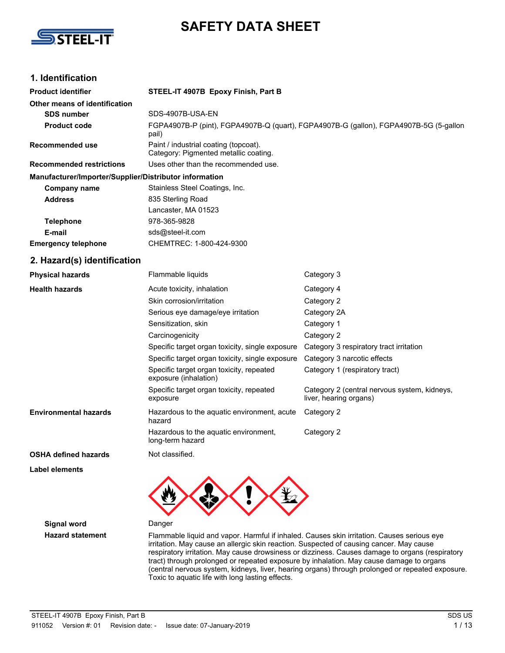

# **SAFETY DATA SHEET**

## **1. Identification**

| <b>Product identifier</b>                              | STEEL-IT 4907B Epoxy Finish, Part B                                                                 |                                                                        |  |  |  |  |  |
|--------------------------------------------------------|-----------------------------------------------------------------------------------------------------|------------------------------------------------------------------------|--|--|--|--|--|
| Other means of identification                          |                                                                                                     |                                                                        |  |  |  |  |  |
| <b>SDS number</b>                                      | SDS-4907B-USA-EN                                                                                    |                                                                        |  |  |  |  |  |
| <b>Product code</b>                                    | FGPA4907B-P (pint), FGPA4907B-Q (quart), FGPA4907B-G (gallon), FGPA4907B-5G (5-gallon<br>pail)      |                                                                        |  |  |  |  |  |
| Recommended use                                        | Paint / industrial coating (topcoat).<br>Category: Pigmented metallic coating.                      |                                                                        |  |  |  |  |  |
| <b>Recommended restrictions</b>                        | Uses other than the recommended use.                                                                |                                                                        |  |  |  |  |  |
| Manufacturer/Importer/Supplier/Distributor information |                                                                                                     |                                                                        |  |  |  |  |  |
| <b>Company name</b>                                    | Stainless Steel Coatings, Inc.                                                                      |                                                                        |  |  |  |  |  |
| <b>Address</b>                                         | 835 Sterling Road                                                                                   |                                                                        |  |  |  |  |  |
|                                                        | Lancaster, MA 01523                                                                                 |                                                                        |  |  |  |  |  |
| <b>Telephone</b>                                       | 978-365-9828                                                                                        |                                                                        |  |  |  |  |  |
| E-mail                                                 | sds@steel-it.com                                                                                    |                                                                        |  |  |  |  |  |
| <b>Emergency telephone</b>                             | CHEMTREC: 1-800-424-9300                                                                            |                                                                        |  |  |  |  |  |
| 2. Hazard(s) identification                            |                                                                                                     |                                                                        |  |  |  |  |  |
| <b>Physical hazards</b>                                | Flammable liquids                                                                                   | Category 3                                                             |  |  |  |  |  |
| <b>Health hazards</b>                                  | Acute toxicity, inhalation                                                                          | Category 4                                                             |  |  |  |  |  |
|                                                        | Skin corrosion/irritation                                                                           | Category 2                                                             |  |  |  |  |  |
|                                                        | Serious eye damage/eye irritation                                                                   | Category 2A                                                            |  |  |  |  |  |
|                                                        | Sensitization, skin                                                                                 | Category 1                                                             |  |  |  |  |  |
|                                                        | Carcinogenicity                                                                                     | Category 2                                                             |  |  |  |  |  |
|                                                        | Specific target organ toxicity, single exposure                                                     | Category 3 respiratory tract irritation                                |  |  |  |  |  |
|                                                        | Specific target organ toxicity, single exposure                                                     | Category 3 narcotic effects                                            |  |  |  |  |  |
|                                                        | Specific target organ toxicity, repeated<br>Category 1 (respiratory tract)<br>exposure (inhalation) |                                                                        |  |  |  |  |  |
|                                                        | Specific target organ toxicity, repeated<br>exposure                                                | Category 2 (central nervous system, kidneys,<br>liver, hearing organs) |  |  |  |  |  |
| <b>Environmental hazards</b>                           | Hazardous to the aquatic environment, acute<br>hazard                                               | Category 2                                                             |  |  |  |  |  |
|                                                        | Hazardous to the aquatic environment,<br>long-term hazard                                           | Category 2                                                             |  |  |  |  |  |
| <b>OSHA defined hazards</b>                            | Not classified.                                                                                     |                                                                        |  |  |  |  |  |

**Label elements**

**Signal word** Danger



**Hazard statement** Flammable liquid and vapor. Harmful if inhaled. Causes skin irritation. Causes serious eye irritation. May cause an allergic skin reaction. Suspected of causing cancer. May cause respiratory irritation. May cause drowsiness or dizziness. Causes damage to organs (respiratory tract) through prolonged or repeated exposure by inhalation. May cause damage to organs (central nervous system, kidneys, liver, hearing organs) through prolonged or repeated exposure. Toxic to aquatic life with long lasting effects.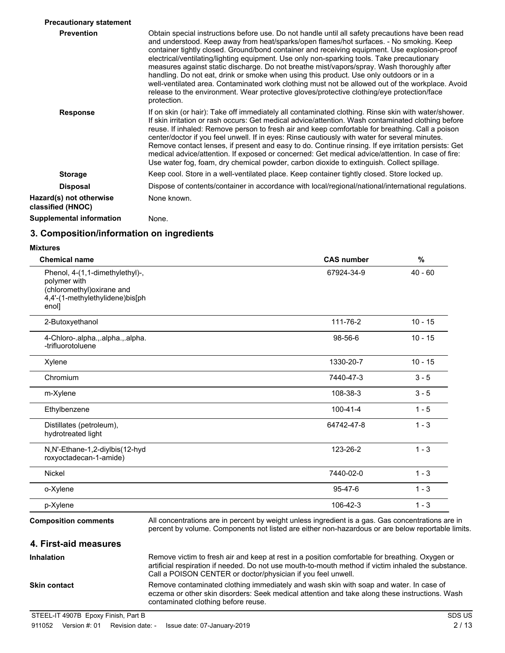| <b>Precautionary statement</b>               |                                                                                                                                                                                                                                                                                                                                                                                                                                                                                                                                                                                                                                                                                                                                                                                                      |
|----------------------------------------------|------------------------------------------------------------------------------------------------------------------------------------------------------------------------------------------------------------------------------------------------------------------------------------------------------------------------------------------------------------------------------------------------------------------------------------------------------------------------------------------------------------------------------------------------------------------------------------------------------------------------------------------------------------------------------------------------------------------------------------------------------------------------------------------------------|
| <b>Prevention</b>                            | Obtain special instructions before use. Do not handle until all safety precautions have been read<br>and understood. Keep away from heat/sparks/open flames/hot surfaces. - No smoking. Keep<br>container tightly closed. Ground/bond container and receiving equipment. Use explosion-proof<br>electrical/ventilating/lighting equipment. Use only non-sparking tools. Take precautionary<br>measures against static discharge. Do not breathe mist/vapors/spray. Wash thoroughly after<br>handling. Do not eat, drink or smoke when using this product. Use only outdoors or in a<br>well-ventilated area. Contaminated work clothing must not be allowed out of the workplace. Avoid<br>release to the environment. Wear protective gloves/protective clothing/eye protection/face<br>protection. |
| <b>Response</b>                              | If on skin (or hair): Take off immediately all contaminated clothing. Rinse skin with water/shower.<br>If skin irritation or rash occurs: Get medical advice/attention. Wash contaminated clothing before<br>reuse. If inhaled: Remove person to fresh air and keep comfortable for breathing. Call a poison<br>center/doctor if you feel unwell. If in eyes: Rinse cautiously with water for several minutes.<br>Remove contact lenses, if present and easy to do. Continue rinsing. If eye irritation persists: Get<br>medical advice/attention. If exposed or concerned: Get medical advice/attention. In case of fire:<br>Use water fog, foam, dry chemical powder, carbon dioxide to extinguish. Collect spillage.                                                                              |
| <b>Storage</b>                               | Keep cool. Store in a well-ventilated place. Keep container tightly closed. Store locked up.                                                                                                                                                                                                                                                                                                                                                                                                                                                                                                                                                                                                                                                                                                         |
| <b>Disposal</b>                              | Dispose of contents/container in accordance with local/regional/national/international regulations.                                                                                                                                                                                                                                                                                                                                                                                                                                                                                                                                                                                                                                                                                                  |
| Hazard(s) not otherwise<br>classified (HNOC) | None known.                                                                                                                                                                                                                                                                                                                                                                                                                                                                                                                                                                                                                                                                                                                                                                                          |
| <b>Supplemental information</b>              | None.                                                                                                                                                                                                                                                                                                                                                                                                                                                                                                                                                                                                                                                                                                                                                                                                |

## **3. Composition/information on ingredients**

#### **Mixtures**

| <b>Chemical name</b>                                                                                                      | <b>CAS number</b> | %<br>$40 - 60$ |  |  |
|---------------------------------------------------------------------------------------------------------------------------|-------------------|----------------|--|--|
| Phenol, 4-(1,1-dimethylethyl)-,<br>polymer with<br>(chloromethyl) oxirane and<br>4,4'-(1-methylethylidene)bis[ph<br>enol] | 67924-34-9        |                |  |  |
| 2-Butoxyethanol                                                                                                           | 111-76-2          | $10 - 15$      |  |  |
| 4-Chloro-.alpha.,.alpha.,.alpha.<br>-trifluorotoluene                                                                     | 98-56-6           | $10 - 15$      |  |  |
| Xylene                                                                                                                    | 1330-20-7         | $10 - 15$      |  |  |
| Chromium                                                                                                                  | 7440-47-3         | $3 - 5$        |  |  |
| m-Xylene                                                                                                                  | 108-38-3          | $3 - 5$        |  |  |
| Ethylbenzene                                                                                                              | $100 - 41 - 4$    | $1 - 5$        |  |  |
| Distillates (petroleum),<br>hydrotreated light                                                                            | 64742-47-8        | $1 - 3$        |  |  |
| N,N'-Ethane-1,2-diylbis(12-hyd<br>roxyoctadecan-1-amide)                                                                  | 123-26-2          | $1 - 3$        |  |  |
| <b>Nickel</b>                                                                                                             | 7440-02-0         | $1 - 3$        |  |  |
| o-Xylene                                                                                                                  | $95 - 47 - 6$     | $1 - 3$        |  |  |
| p-Xylene                                                                                                                  | 106-42-3          | $1 - 3$        |  |  |

**4. First-aid measures**

percent by volume. Components not listed are either non-hazardous or are below reportable limits.

| <b>Inhalation</b>   | Remove victim to fresh air and keep at rest in a position comfortable for breathing. Oxygen or<br>artificial respiration if needed. Do not use mouth-to-mouth method if victim inhaled the substance.<br>Call a POISON CENTER or doctor/physician if you feel unwell. |
|---------------------|-----------------------------------------------------------------------------------------------------------------------------------------------------------------------------------------------------------------------------------------------------------------------|
| <b>Skin contact</b> | Remove contaminated clothing immediately and wash skin with soap and water. In case of<br>eczema or other skin disorders: Seek medical attention and take along these instructions. Wash<br>contaminated clothing before reuse.                                       |

STEEL-IT 4907B Epoxy Finish, Part B SDS US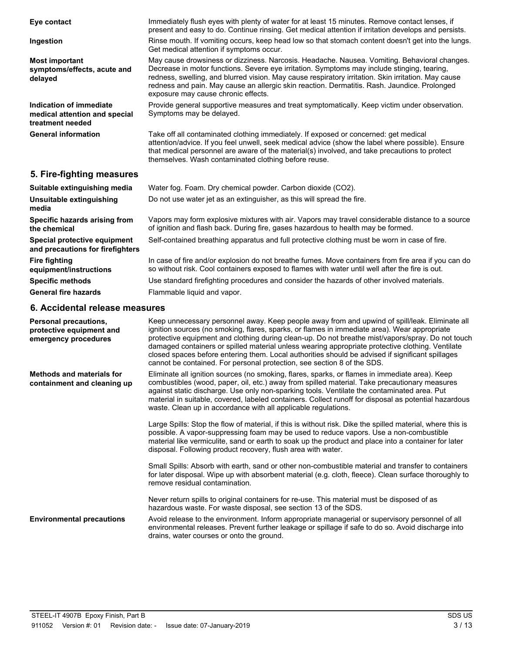| Eye contact                                                                  | Immediately flush eyes with plenty of water for at least 15 minutes. Remove contact lenses, if<br>present and easy to do. Continue rinsing. Get medical attention if irritation develops and persists.                                                                                                                                                                                                                                    |
|------------------------------------------------------------------------------|-------------------------------------------------------------------------------------------------------------------------------------------------------------------------------------------------------------------------------------------------------------------------------------------------------------------------------------------------------------------------------------------------------------------------------------------|
| Ingestion                                                                    | Rinse mouth. If vomiting occurs, keep head low so that stomach content doesn't get into the lungs.<br>Get medical attention if symptoms occur.                                                                                                                                                                                                                                                                                            |
| <b>Most important</b><br>symptoms/effects, acute and<br>delayed              | May cause drowsiness or dizziness. Narcosis. Headache. Nausea. Vomiting. Behavioral changes.<br>Decrease in motor functions. Severe eye irritation. Symptoms may include stinging, tearing,<br>redness, swelling, and blurred vision. May cause respiratory irritation. Skin irritation. May cause<br>redness and pain. May cause an allergic skin reaction. Dermatitis. Rash. Jaundice. Prolonged<br>exposure may cause chronic effects. |
| Indication of immediate<br>medical attention and special<br>treatment needed | Provide general supportive measures and treat symptomatically. Keep victim under observation.<br>Symptoms may be delayed.                                                                                                                                                                                                                                                                                                                 |
| <b>General information</b>                                                   | Take off all contaminated clothing immediately. If exposed or concerned: get medical<br>attention/advice. If you feel unwell, seek medical advice (show the label where possible). Ensure<br>that medical personnel are aware of the material(s) involved, and take precautions to protect<br>themselves. Wash contaminated clothing before reuse.                                                                                        |
| 5. Fire-fighting measures                                                    |                                                                                                                                                                                                                                                                                                                                                                                                                                           |
| Suitable extinguishing media                                                 | Water fog. Foam. Dry chemical powder. Carbon dioxide (CO2).                                                                                                                                                                                                                                                                                                                                                                               |
| Unsuitable extinguishing<br>media                                            | Do not use water jet as an extinguisher, as this will spread the fire.                                                                                                                                                                                                                                                                                                                                                                    |
| Specific hazards arising from<br>the chemical                                | Vapors may form explosive mixtures with air. Vapors may travel considerable distance to a source<br>of ignition and flash back. During fire, gases hazardous to health may be formed.                                                                                                                                                                                                                                                     |
| Special protective equipment<br>and precautions for firefighters             | Self-contained breathing apparatus and full protective clothing must be worn in case of fire.                                                                                                                                                                                                                                                                                                                                             |
| <b>Fire fighting</b><br>equipment/instructions                               | In case of fire and/or explosion do not breathe fumes. Move containers from fire area if you can do<br>so without risk. Cool containers exposed to flames with water until well after the fire is out.                                                                                                                                                                                                                                    |
| <b>Specific methods</b>                                                      | Use standard firefighting procedures and consider the hazards of other involved materials.                                                                                                                                                                                                                                                                                                                                                |
| <b>General fire hazards</b>                                                  | Flammable liquid and vapor.                                                                                                                                                                                                                                                                                                                                                                                                               |
| 6. Accidental release measures                                               |                                                                                                                                                                                                                                                                                                                                                                                                                                           |
| <b>Personal precautions.</b>                                                 | Keep unnecessary personnel away. Keep people away from and upwind of spill/leak. Eliminate all                                                                                                                                                                                                                                                                                                                                            |

| 6. Accidental release measures                                                   |                                                                                                                                                                                                                                                                                                                                                                                                                                                                                                                                                                                        |
|----------------------------------------------------------------------------------|----------------------------------------------------------------------------------------------------------------------------------------------------------------------------------------------------------------------------------------------------------------------------------------------------------------------------------------------------------------------------------------------------------------------------------------------------------------------------------------------------------------------------------------------------------------------------------------|
| <b>Personal precautions,</b><br>protective equipment and<br>emergency procedures | Keep unnecessary personnel away. Keep people away from and upwind of spill/leak. Eliminate all<br>ignition sources (no smoking, flares, sparks, or flames in immediate area). Wear appropriate<br>protective equipment and clothing during clean-up. Do not breathe mist/vapors/spray. Do not touch<br>damaged containers or spilled material unless wearing appropriate protective clothing. Ventilate<br>closed spaces before entering them. Local authorities should be advised if significant spillages<br>cannot be contained. For personal protection, see section 8 of the SDS. |
| <b>Methods and materials for</b><br>containment and cleaning up                  | Eliminate all ignition sources (no smoking, flares, sparks, or flames in immediate area). Keep<br>combustibles (wood, paper, oil, etc.) away from spilled material. Take precautionary measures<br>against static discharge. Use only non-sparking tools. Ventilate the contaminated area. Put<br>material in suitable, covered, labeled containers. Collect runoff for disposal as potential hazardous<br>waste. Clean up in accordance with all applicable regulations.                                                                                                              |
|                                                                                  | Large Spills: Stop the flow of material, if this is without risk. Dike the spilled material, where this is<br>possible. A vapor-suppressing foam may be used to reduce vapors. Use a non-combustible<br>material like vermiculite, sand or earth to soak up the product and place into a container for later<br>disposal. Following product recovery, flush area with water.                                                                                                                                                                                                           |
|                                                                                  | Small Spills: Absorb with earth, sand or other non-combustible material and transfer to containers<br>for later disposal. Wipe up with absorbent material (e.g. cloth, fleece). Clean surface thoroughly to<br>remove residual contamination.                                                                                                                                                                                                                                                                                                                                          |
|                                                                                  | Never return spills to original containers for re-use. This material must be disposed of as<br>hazardous waste. For waste disposal, see section 13 of the SDS.                                                                                                                                                                                                                                                                                                                                                                                                                         |
| <b>Environmental precautions</b>                                                 | Avoid release to the environment. Inform appropriate managerial or supervisory personnel of all                                                                                                                                                                                                                                                                                                                                                                                                                                                                                        |

drains, water courses or onto the ground.

environmental releases. Prevent further leakage or spillage if safe to do so. Avoid discharge into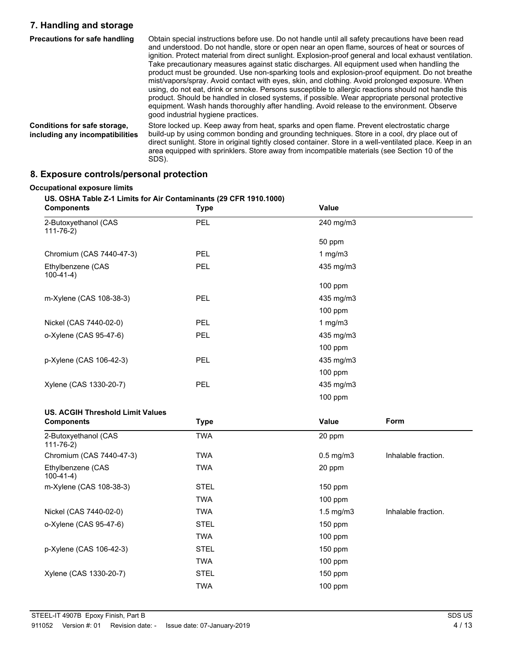## **7. Handling and storage**

| Precautions for safe handling                                   | Obtain special instructions before use. Do not handle until all safety precautions have been read<br>and understood. Do not handle, store or open near an open flame, sources of heat or sources of<br>ignition. Protect material from direct sunlight. Explosion-proof general and local exhaust ventilation.<br>Take precautionary measures against static discharges. All equipment used when handling the<br>product must be grounded. Use non-sparking tools and explosion-proof equipment. Do not breathe<br>mist/vapors/spray. Avoid contact with eyes, skin, and clothing. Avoid prolonged exposure. When<br>using, do not eat, drink or smoke. Persons susceptible to allergic reactions should not handle this<br>product. Should be handled in closed systems, if possible. Wear appropriate personal protective<br>equipment. Wash hands thoroughly after handling. Avoid release to the environment. Observe<br>good industrial hygiene practices. |
|-----------------------------------------------------------------|-----------------------------------------------------------------------------------------------------------------------------------------------------------------------------------------------------------------------------------------------------------------------------------------------------------------------------------------------------------------------------------------------------------------------------------------------------------------------------------------------------------------------------------------------------------------------------------------------------------------------------------------------------------------------------------------------------------------------------------------------------------------------------------------------------------------------------------------------------------------------------------------------------------------------------------------------------------------|
| Conditions for safe storage,<br>including any incompatibilities | Store locked up. Keep away from heat, sparks and open flame. Prevent electrostatic charge<br>build-up by using common bonding and grounding techniques. Store in a cool, dry place out of<br>direct sunlight. Store in original tightly closed container. Store in a well-ventilated place. Keep in an<br>area equipped with sprinklers. Store away from incompatible materials (see Section 10 of the<br>SDS).                                                                                                                                                                                                                                                                                                                                                                                                                                                                                                                                                 |

## **8. Exposure controls/personal protection**

## **Occupational exposure limits**

### **US. OSHA Table Z-1 Limits for Air Contaminants (29 CFR 1910.1000)**

| <b>Components</b>                       | <b>Type</b> | Value          |                     |
|-----------------------------------------|-------------|----------------|---------------------|
| 2-Butoxyethanol (CAS<br>$111 - 76 - 2$  | PEL         | 240 mg/m3      |                     |
|                                         |             | 50 ppm         |                     |
| Chromium (CAS 7440-47-3)                | PEL         | 1 $mg/m3$      |                     |
| Ethylbenzene (CAS<br>$100-41-4)$        | PEL         | 435 mg/m3      |                     |
|                                         |             | 100 ppm        |                     |
| m-Xylene (CAS 108-38-3)                 | PEL         | 435 mg/m3      |                     |
|                                         |             | 100 ppm        |                     |
| Nickel (CAS 7440-02-0)                  | PEL         | 1 $mg/m3$      |                     |
| o-Xylene (CAS 95-47-6)                  | PEL         | 435 mg/m3      |                     |
|                                         |             | 100 ppm        |                     |
| p-Xylene (CAS 106-42-3)                 | PEL         | 435 mg/m3      |                     |
|                                         |             | 100 ppm        |                     |
| Xylene (CAS 1330-20-7)                  | PEL         | 435 mg/m3      |                     |
|                                         |             | 100 ppm        |                     |
| <b>US. ACGIH Threshold Limit Values</b> |             |                |                     |
| <b>Components</b>                       | <b>Type</b> | Form<br>Value  |                     |
| 2-Butoxyethanol (CAS<br>$111 - 76 - 2)$ | <b>TWA</b>  | 20 ppm         |                     |
| Chromium (CAS 7440-47-3)                | <b>TWA</b>  | $0.5$ mg/m $3$ | Inhalable fraction. |
| Ethylbenzene (CAS<br>$100-41-4)$        | <b>TWA</b>  | 20 ppm         |                     |
| m-Xylene (CAS 108-38-3)                 | <b>STEL</b> | 150 ppm        |                     |
|                                         | <b>TWA</b>  | 100 ppm        |                     |
| Nickel (CAS 7440-02-0)                  | <b>TWA</b>  | $1.5$ mg/m $3$ | Inhalable fraction. |
| o-Xylene (CAS 95-47-6)                  | <b>STEL</b> | 150 ppm        |                     |
|                                         | <b>TWA</b>  | 100 ppm        |                     |
| p-Xylene (CAS 106-42-3)                 | <b>STEL</b> | 150 ppm        |                     |
|                                         | <b>TWA</b>  | 100 ppm        |                     |
| Xylene (CAS 1330-20-7)                  | <b>STEL</b> | 150 ppm        |                     |
|                                         | <b>TWA</b>  | 100 ppm        |                     |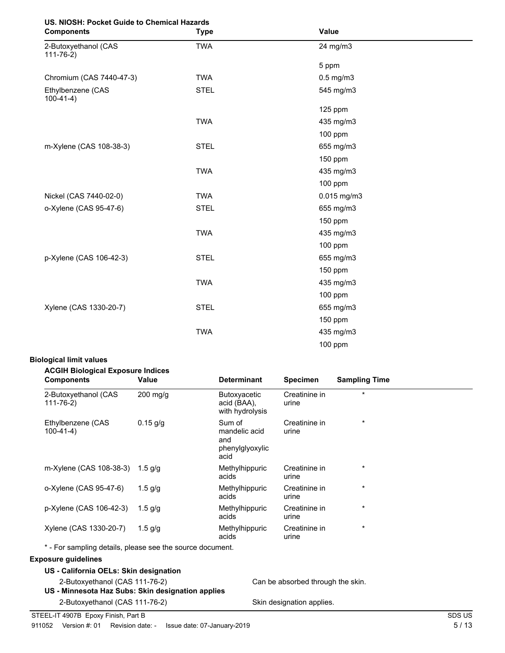## **US. NIOSH: Pocket Guide to Chemical Hazards**

| <b>Components</b>                       | <b>Type</b> | Value          |  |
|-----------------------------------------|-------------|----------------|--|
| 2-Butoxyethanol (CAS<br>$111 - 76 - 2)$ | <b>TWA</b>  | 24 mg/m3       |  |
|                                         |             | 5 ppm          |  |
| Chromium (CAS 7440-47-3)                | <b>TWA</b>  | $0.5$ mg/m $3$ |  |
| Ethylbenzene (CAS<br>$100-41-4)$        | <b>STEL</b> | 545 mg/m3      |  |
|                                         |             | 125 ppm        |  |
|                                         | <b>TWA</b>  | 435 mg/m3      |  |
|                                         |             | 100 ppm        |  |
| m-Xylene (CAS 108-38-3)                 | <b>STEL</b> | 655 mg/m3      |  |
|                                         |             | 150 ppm        |  |
|                                         | <b>TWA</b>  | 435 mg/m3      |  |
|                                         |             | 100 ppm        |  |
| Nickel (CAS 7440-02-0)                  | <b>TWA</b>  | 0.015 mg/m3    |  |
| o-Xylene (CAS 95-47-6)                  | <b>STEL</b> | 655 mg/m3      |  |
|                                         |             | 150 ppm        |  |
|                                         | <b>TWA</b>  | 435 mg/m3      |  |
|                                         |             | 100 ppm        |  |
| p-Xylene (CAS 106-42-3)                 | <b>STEL</b> | 655 mg/m3      |  |
|                                         |             | 150 ppm        |  |
|                                         | <b>TWA</b>  | 435 mg/m3      |  |
|                                         |             | 100 ppm        |  |
| Xylene (CAS 1330-20-7)                  | <b>STEL</b> | 655 mg/m3      |  |
|                                         |             | 150 ppm        |  |
|                                         | <b>TWA</b>  | 435 mg/m3      |  |
|                                         |             | 100 ppm        |  |

### **Biological limit values**

| <b>ACGIH Biological Exposure Indices</b><br>Value | <b>Determinant</b>                                        | <b>Specimen</b>        | <b>Sampling Time</b> |
|---------------------------------------------------|-----------------------------------------------------------|------------------------|----------------------|
| $200$ mg/g                                        | <b>Butoxyacetic</b><br>acid (BAA),<br>with hydrolysis     | Creatinine in<br>urine | $\star$              |
| $0.15$ g/g                                        | Sum of<br>mandelic acid<br>and<br>phenylglyoxylic<br>acid | Creatinine in<br>urine | $\star$              |
| 1.5 g/g                                           | Methylhippuric<br>acids                                   | Creatinine in<br>urine | $\star$              |
| 1.5 $q/q$                                         | Methylhippuric<br>acids                                   | Creatinine in<br>urine | $\star$              |
| 1.5 $q/q$                                         | Methylhippuric<br>acids                                   | Creatinine in<br>urine | $\star$              |
| 1.5 $g/g$                                         | Methylhippuric<br>acids                                   | Creatinine in<br>urine | $\star$              |
|                                                   |                                                           |                        |                      |

### **Exposure guidelines**

| US - California OELs: Skin designation |  |  |  |   |  |  |  |
|----------------------------------------|--|--|--|---|--|--|--|
|                                        |  |  |  | . |  |  |  |

2-Butoxyethanol (CAS 111-76-2) Can be absorbed through the skin. **US - Minnesota Haz Subs: Skin designation applies**

2-Butoxyethanol (CAS 111-76-2) Skin designation applies.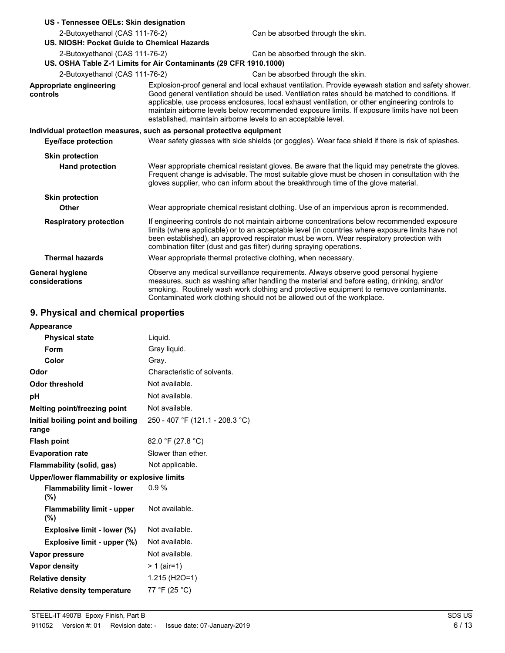| US - Tennessee OELs: Skin designation                                 |                                                                                                                                                                                                                                                                                                                                                                                                                                                                         |                                                                                                                                                                                                                                                                                                                                                                    |  |  |  |  |
|-----------------------------------------------------------------------|-------------------------------------------------------------------------------------------------------------------------------------------------------------------------------------------------------------------------------------------------------------------------------------------------------------------------------------------------------------------------------------------------------------------------------------------------------------------------|--------------------------------------------------------------------------------------------------------------------------------------------------------------------------------------------------------------------------------------------------------------------------------------------------------------------------------------------------------------------|--|--|--|--|
| 2-Butoxyethanol (CAS 111-76-2)                                        |                                                                                                                                                                                                                                                                                                                                                                                                                                                                         | Can be absorbed through the skin.                                                                                                                                                                                                                                                                                                                                  |  |  |  |  |
| US. NIOSH: Pocket Guide to Chemical Hazards                           |                                                                                                                                                                                                                                                                                                                                                                                                                                                                         |                                                                                                                                                                                                                                                                                                                                                                    |  |  |  |  |
| 2-Butoxyethanol (CAS 111-76-2)                                        |                                                                                                                                                                                                                                                                                                                                                                                                                                                                         | Can be absorbed through the skin.                                                                                                                                                                                                                                                                                                                                  |  |  |  |  |
| US. OSHA Table Z-1 Limits for Air Contaminants (29 CFR 1910.1000)     |                                                                                                                                                                                                                                                                                                                                                                                                                                                                         |                                                                                                                                                                                                                                                                                                                                                                    |  |  |  |  |
| 2-Butoxyethanol (CAS 111-76-2)                                        |                                                                                                                                                                                                                                                                                                                                                                                                                                                                         | Can be absorbed through the skin.                                                                                                                                                                                                                                                                                                                                  |  |  |  |  |
| Appropriate engineering<br>controls                                   | Explosion-proof general and local exhaust ventilation. Provide eyewash station and safety shower.<br>Good general ventilation should be used. Ventilation rates should be matched to conditions. If<br>applicable, use process enclosures, local exhaust ventilation, or other engineering controls to<br>maintain airborne levels below recommended exposure limits. If exposure limits have not been<br>established, maintain airborne levels to an acceptable level. |                                                                                                                                                                                                                                                                                                                                                                    |  |  |  |  |
| Individual protection measures, such as personal protective equipment |                                                                                                                                                                                                                                                                                                                                                                                                                                                                         |                                                                                                                                                                                                                                                                                                                                                                    |  |  |  |  |
| Eye/face protection                                                   | Wear safety glasses with side shields (or goggles). Wear face shield if there is risk of splashes.                                                                                                                                                                                                                                                                                                                                                                      |                                                                                                                                                                                                                                                                                                                                                                    |  |  |  |  |
| <b>Skin protection</b>                                                |                                                                                                                                                                                                                                                                                                                                                                                                                                                                         |                                                                                                                                                                                                                                                                                                                                                                    |  |  |  |  |
| <b>Hand protection</b>                                                | Wear appropriate chemical resistant gloves. Be aware that the liquid may penetrate the gloves.<br>Frequent change is advisable. The most suitable glove must be chosen in consultation with the<br>gloves supplier, who can inform about the breakthrough time of the glove material.                                                                                                                                                                                   |                                                                                                                                                                                                                                                                                                                                                                    |  |  |  |  |
| <b>Skin protection</b>                                                |                                                                                                                                                                                                                                                                                                                                                                                                                                                                         |                                                                                                                                                                                                                                                                                                                                                                    |  |  |  |  |
| Other                                                                 |                                                                                                                                                                                                                                                                                                                                                                                                                                                                         | Wear appropriate chemical resistant clothing. Use of an impervious apron is recommended.                                                                                                                                                                                                                                                                           |  |  |  |  |
| <b>Respiratory protection</b>                                         |                                                                                                                                                                                                                                                                                                                                                                                                                                                                         | If engineering controls do not maintain airborne concentrations below recommended exposure<br>limits (where applicable) or to an acceptable level (in countries where exposure limits have not<br>been established), an approved respirator must be worn. Wear respiratory protection with<br>combination filter (dust and gas filter) during spraying operations. |  |  |  |  |
| <b>Thermal hazards</b>                                                |                                                                                                                                                                                                                                                                                                                                                                                                                                                                         | Wear appropriate thermal protective clothing, when necessary.                                                                                                                                                                                                                                                                                                      |  |  |  |  |
| <b>General hygiene</b><br>considerations                              |                                                                                                                                                                                                                                                                                                                                                                                                                                                                         | Observe any medical surveillance requirements. Always observe good personal hygiene<br>measures, such as washing after handling the material and before eating, drinking, and/or<br>smoking. Routinely wash work clothing and protective equipment to remove contaminants.<br>Contaminated work clothing should not be allowed out of the workplace.               |  |  |  |  |

## **9. Physical and chemical properties**

| Liquid.                                      |
|----------------------------------------------|
| Gray liquid.                                 |
| Gray.                                        |
| Characteristic of solvents.                  |
| Not available.                               |
| Not available.                               |
| Not available.                               |
| 250 - 407 °F (121.1 - 208.3 °C)              |
| 82.0 °F (27.8 °C)                            |
| Slower than ether.                           |
| Not applicable.                              |
| Upper/lower flammability or explosive limits |
| 0.9%                                         |
| Not available.                               |
| Not available.                               |
| Not available.                               |
| Not available.                               |
| $> 1$ (air=1)                                |
| $1.215$ (H <sub>2</sub> O=1)                 |
| 77 °F (25 °C)                                |
|                                              |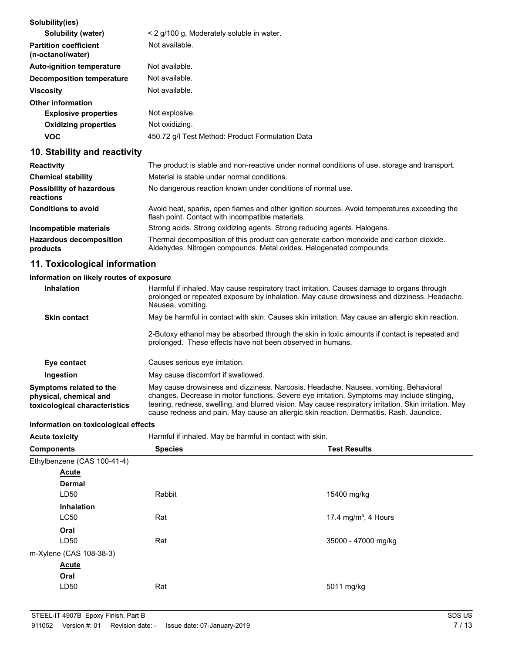| Solubility(ies)                                   |                                                  |
|---------------------------------------------------|--------------------------------------------------|
| Solubility (water)                                | < 2 g/100 g, Moderately soluble in water.        |
| <b>Partition coefficient</b><br>(n-octanol/water) | Not available.                                   |
| <b>Auto-ignition temperature</b>                  | Not available.                                   |
| Decomposition temperature                         | Not available.                                   |
| <b>Viscosity</b>                                  | Not available.                                   |
| <b>Other information</b>                          |                                                  |
| <b>Explosive properties</b>                       | Not explosive.                                   |
| <b>Oxidizing properties</b>                       | Not oxidizing.                                   |
| <b>VOC</b>                                        | 450.72 g/l Test Method: Product Formulation Data |
|                                                   |                                                  |

## **10. Stability and reactivity**

| <b>Reactivity</b>                            | The product is stable and non-reactive under normal conditions of use, storage and transport.                                                                 |
|----------------------------------------------|---------------------------------------------------------------------------------------------------------------------------------------------------------------|
| <b>Chemical stability</b>                    | Material is stable under normal conditions.                                                                                                                   |
| <b>Possibility of hazardous</b><br>reactions | No dangerous reaction known under conditions of normal use.                                                                                                   |
| <b>Conditions to avoid</b>                   | Avoid heat, sparks, open flames and other ignition sources. Avoid temperatures exceeding the<br>flash point. Contact with incompatible materials.             |
| Incompatible materials                       | Strong acids. Strong oxidizing agents. Strong reducing agents. Halogens.                                                                                      |
| <b>Hazardous decomposition</b><br>products   | Thermal decomposition of this product can generate carbon monoxide and carbon dioxide.<br>Aldehydes. Nitrogen compounds. Metal oxides. Halogenated compounds. |

## **11. Toxicological information**

## **Information on likely routes of exposure**

| <b>Inhalation</b>                                                                  | Harmful if inhaled. May cause respiratory tract irritation. Causes damage to organs through<br>prolonged or repeated exposure by inhalation. May cause drowsiness and dizziness. Headache.<br>Nausea, vomiting.                                                                                                                                                                           |
|------------------------------------------------------------------------------------|-------------------------------------------------------------------------------------------------------------------------------------------------------------------------------------------------------------------------------------------------------------------------------------------------------------------------------------------------------------------------------------------|
| <b>Skin contact</b>                                                                | May be harmful in contact with skin. Causes skin irritation. May cause an allergic skin reaction.                                                                                                                                                                                                                                                                                         |
|                                                                                    | 2-Butoxy ethanol may be absorbed through the skin in toxic amounts if contact is repeated and<br>prolonged. These effects have not been observed in humans.                                                                                                                                                                                                                               |
| Eye contact                                                                        | Causes serious eve irritation.                                                                                                                                                                                                                                                                                                                                                            |
| Ingestion                                                                          | May cause discomfort if swallowed.                                                                                                                                                                                                                                                                                                                                                        |
| Symptoms related to the<br>physical, chemical and<br>toxicological characteristics | May cause drowsiness and dizziness. Narcosis. Headache. Nausea, vomiting. Behavioral<br>changes. Decrease in motor functions. Severe eye irritation. Symptoms may include stinging,<br>tearing, redness, swelling, and blurred vision. May cause respiratory irritation. Skin irritation. May<br>cause redness and pain. May cause an allergic skin reaction. Dermatitis. Rash. Jaundice. |

## **Information on toxicological effects**

| <b>INTERNATION OF LOXICOLOGICAL EMECTS</b> |                                                          |                                  |
|--------------------------------------------|----------------------------------------------------------|----------------------------------|
| <b>Acute toxicity</b>                      | Harmful if inhaled. May be harmful in contact with skin. |                                  |
| <b>Components</b>                          | <b>Species</b>                                           | <b>Test Results</b>              |
| Ethylbenzene (CAS 100-41-4)                |                                                          |                                  |
| <b>Acute</b>                               |                                                          |                                  |
| <b>Dermal</b>                              |                                                          |                                  |
| LD50                                       | Rabbit                                                   | 15400 mg/kg                      |
| <b>Inhalation</b>                          |                                                          |                                  |
| <b>LC50</b>                                | Rat                                                      | 17.4 mg/m <sup>3</sup> , 4 Hours |
| Oral                                       |                                                          |                                  |
| LD50                                       | Rat                                                      | 35000 - 47000 mg/kg              |
| m-Xylene (CAS 108-38-3)                    |                                                          |                                  |
| <b>Acute</b>                               |                                                          |                                  |
| Oral                                       |                                                          |                                  |
| LD50                                       | Rat                                                      | 5011 mg/kg                       |
|                                            |                                                          |                                  |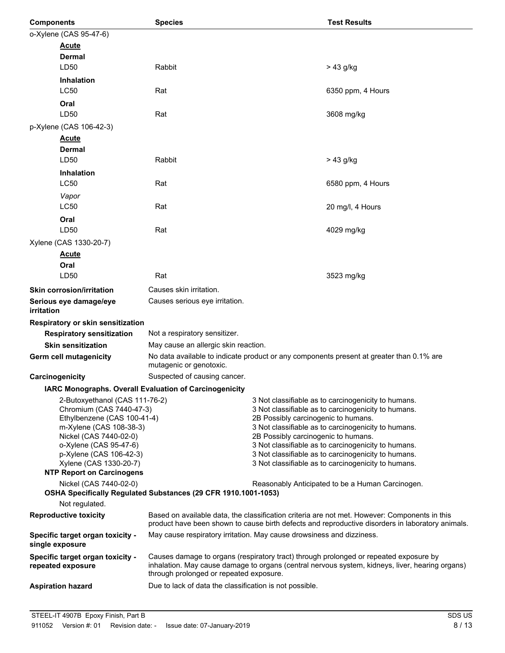| <b>Components</b> |                                                            | <b>Species</b>                                                                                                                                                                                                                      |                                     | <b>Test Results</b>                                                                                        |  |
|-------------------|------------------------------------------------------------|-------------------------------------------------------------------------------------------------------------------------------------------------------------------------------------------------------------------------------------|-------------------------------------|------------------------------------------------------------------------------------------------------------|--|
|                   | o-Xylene (CAS 95-47-6)                                     |                                                                                                                                                                                                                                     |                                     |                                                                                                            |  |
|                   | <b>Acute</b>                                               |                                                                                                                                                                                                                                     |                                     |                                                                                                            |  |
|                   | Dermal                                                     |                                                                                                                                                                                                                                     |                                     |                                                                                                            |  |
|                   | LD50                                                       | Rabbit                                                                                                                                                                                                                              |                                     | $> 43$ g/kg                                                                                                |  |
|                   | <b>Inhalation</b>                                          |                                                                                                                                                                                                                                     |                                     |                                                                                                            |  |
|                   | <b>LC50</b>                                                | Rat                                                                                                                                                                                                                                 |                                     | 6350 ppm, 4 Hours                                                                                          |  |
|                   | Oral                                                       |                                                                                                                                                                                                                                     |                                     |                                                                                                            |  |
|                   | LD50                                                       | Rat                                                                                                                                                                                                                                 |                                     | 3608 mg/kg                                                                                                 |  |
|                   | p-Xylene (CAS 106-42-3)                                    |                                                                                                                                                                                                                                     |                                     |                                                                                                            |  |
|                   | <b>Acute</b><br>Dermal                                     |                                                                                                                                                                                                                                     |                                     |                                                                                                            |  |
|                   | LD50                                                       | Rabbit                                                                                                                                                                                                                              |                                     | > 43 g/kg                                                                                                  |  |
|                   | <b>Inhalation</b>                                          |                                                                                                                                                                                                                                     |                                     |                                                                                                            |  |
|                   | <b>LC50</b>                                                | Rat                                                                                                                                                                                                                                 |                                     | 6580 ppm, 4 Hours                                                                                          |  |
|                   | Vapor                                                      |                                                                                                                                                                                                                                     |                                     |                                                                                                            |  |
|                   | <b>LC50</b>                                                | Rat                                                                                                                                                                                                                                 |                                     | 20 mg/l, 4 Hours                                                                                           |  |
|                   | Oral                                                       |                                                                                                                                                                                                                                     |                                     |                                                                                                            |  |
|                   | LD50                                                       | Rat                                                                                                                                                                                                                                 |                                     | 4029 mg/kg                                                                                                 |  |
|                   | Xylene (CAS 1330-20-7)                                     |                                                                                                                                                                                                                                     |                                     |                                                                                                            |  |
|                   | <b>Acute</b>                                               |                                                                                                                                                                                                                                     |                                     |                                                                                                            |  |
|                   | Oral                                                       |                                                                                                                                                                                                                                     |                                     |                                                                                                            |  |
|                   | LD50                                                       | Rat                                                                                                                                                                                                                                 |                                     | 3523 mg/kg                                                                                                 |  |
|                   | <b>Skin corrosion/irritation</b>                           | Causes skin irritation.                                                                                                                                                                                                             |                                     |                                                                                                            |  |
|                   | Serious eye damage/eye                                     | Causes serious eye irritation.                                                                                                                                                                                                      |                                     |                                                                                                            |  |
| <i>irritation</i> |                                                            |                                                                                                                                                                                                                                     |                                     |                                                                                                            |  |
|                   | Respiratory or skin sensitization                          |                                                                                                                                                                                                                                     |                                     |                                                                                                            |  |
|                   | <b>Respiratory sensitization</b>                           | Not a respiratory sensitizer.                                                                                                                                                                                                       |                                     |                                                                                                            |  |
|                   | <b>Skin sensitization</b>                                  | May cause an allergic skin reaction.                                                                                                                                                                                                |                                     |                                                                                                            |  |
|                   | Germ cell mutagenicity                                     | mutagenic or genotoxic.                                                                                                                                                                                                             |                                     | No data available to indicate product or any components present at greater than 0.1% are                   |  |
| Carcinogenicity   |                                                            | Suspected of causing cancer.                                                                                                                                                                                                        |                                     |                                                                                                            |  |
|                   |                                                            | IARC Monographs. Overall Evaluation of Carcinogenicity                                                                                                                                                                              |                                     |                                                                                                            |  |
|                   | 2-Butoxyethanol (CAS 111-76-2)<br>Chromium (CAS 7440-47-3) |                                                                                                                                                                                                                                     |                                     | 3 Not classifiable as to carcinogenicity to humans.<br>3 Not classifiable as to carcinogenicity to humans. |  |
|                   | Ethylbenzene (CAS 100-41-4)                                |                                                                                                                                                                                                                                     | 2B Possibly carcinogenic to humans. |                                                                                                            |  |
|                   | m-Xylene (CAS 108-38-3)                                    |                                                                                                                                                                                                                                     |                                     | 3 Not classifiable as to carcinogenicity to humans.                                                        |  |
|                   | Nickel (CAS 7440-02-0)<br>o-Xylene (CAS 95-47-6)           |                                                                                                                                                                                                                                     | 2B Possibly carcinogenic to humans. | 3 Not classifiable as to carcinogenicity to humans.                                                        |  |
|                   | p-Xylene (CAS 106-42-3)                                    |                                                                                                                                                                                                                                     |                                     | 3 Not classifiable as to carcinogenicity to humans.                                                        |  |
|                   | Xylene (CAS 1330-20-7)                                     |                                                                                                                                                                                                                                     |                                     | 3 Not classifiable as to carcinogenicity to humans.                                                        |  |
|                   | <b>NTP Report on Carcinogens</b><br>Nickel (CAS 7440-02-0) |                                                                                                                                                                                                                                     |                                     | Reasonably Anticipated to be a Human Carcinogen.                                                           |  |
|                   |                                                            | OSHA Specifically Regulated Substances (29 CFR 1910.1001-1053)                                                                                                                                                                      |                                     |                                                                                                            |  |
|                   | Not regulated.                                             |                                                                                                                                                                                                                                     |                                     |                                                                                                            |  |
|                   | <b>Reproductive toxicity</b>                               | Based on available data, the classification criteria are not met. However: Components in this<br>product have been shown to cause birth defects and reproductive disorders in laboratory animals.                                   |                                     |                                                                                                            |  |
|                   | Specific target organ toxicity -<br>single exposure        | May cause respiratory irritation. May cause drowsiness and dizziness.                                                                                                                                                               |                                     |                                                                                                            |  |
|                   | Specific target organ toxicity -<br>repeated exposure      | Causes damage to organs (respiratory tract) through prolonged or repeated exposure by<br>inhalation. May cause damage to organs (central nervous system, kidneys, liver, hearing organs)<br>through prolonged or repeated exposure. |                                     |                                                                                                            |  |
|                   | <b>Aspiration hazard</b>                                   | Due to lack of data the classification is not possible.                                                                                                                                                                             |                                     |                                                                                                            |  |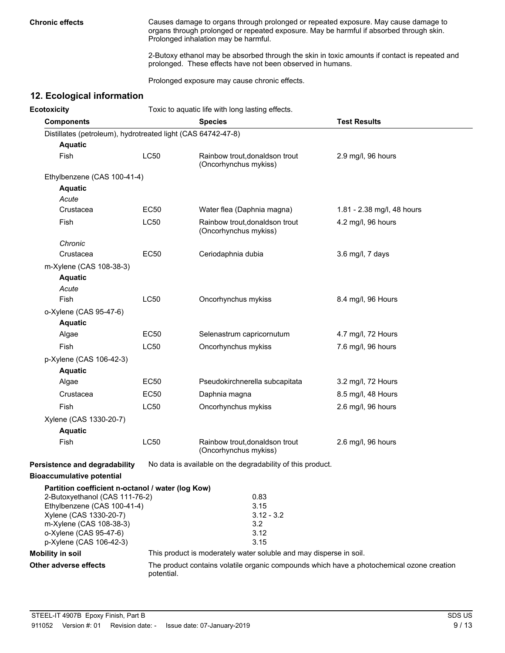**Chronic effects** Causes damage to organs through prolonged or repeated exposure. May cause damage to organs through prolonged or repeated exposure. May be harmful if absorbed through skin. Prolonged inhalation may be harmful.

> 2-Butoxy ethanol may be absorbed through the skin in toxic amounts if contact is repeated and prolonged. These effects have not been observed in humans.

Prolonged exposure may cause chronic effects.

## **12. Ecological information**

| <b>Ecotoxicity</b>                                           | Toxic to aquatic life with long lasting effects. |                                                                                           |                            |  |
|--------------------------------------------------------------|--------------------------------------------------|-------------------------------------------------------------------------------------------|----------------------------|--|
| <b>Components</b>                                            |                                                  | <b>Species</b>                                                                            | <b>Test Results</b>        |  |
| Distillates (petroleum), hydrotreated light (CAS 64742-47-8) |                                                  |                                                                                           |                            |  |
| <b>Aquatic</b>                                               |                                                  |                                                                                           |                            |  |
| Fish                                                         | <b>LC50</b>                                      | Rainbow trout, donaldson trout<br>(Oncorhynchus mykiss)                                   | 2.9 mg/l, 96 hours         |  |
| Ethylbenzene (CAS 100-41-4)                                  |                                                  |                                                                                           |                            |  |
| <b>Aquatic</b>                                               |                                                  |                                                                                           |                            |  |
| Acute                                                        |                                                  |                                                                                           |                            |  |
| Crustacea                                                    | <b>EC50</b>                                      | Water flea (Daphnia magna)                                                                | 1.81 - 2.38 mg/l, 48 hours |  |
| Fish                                                         | LC50                                             | Rainbow trout, donaldson trout<br>(Oncorhynchus mykiss)                                   | 4.2 mg/l, 96 hours         |  |
| Chronic                                                      |                                                  |                                                                                           |                            |  |
| Crustacea                                                    | <b>EC50</b>                                      | Ceriodaphnia dubia                                                                        | 3.6 mg/l, 7 days           |  |
| m-Xylene (CAS 108-38-3)                                      |                                                  |                                                                                           |                            |  |
| <b>Aquatic</b>                                               |                                                  |                                                                                           |                            |  |
| Acute                                                        |                                                  |                                                                                           |                            |  |
| Fish                                                         | LC50                                             | Oncorhynchus mykiss                                                                       | 8.4 mg/l, 96 Hours         |  |
| o-Xylene (CAS 95-47-6)                                       |                                                  |                                                                                           |                            |  |
| <b>Aquatic</b>                                               |                                                  |                                                                                           |                            |  |
| Algae                                                        | <b>EC50</b>                                      | Selenastrum capricornutum                                                                 | 4.7 mg/l, 72 Hours         |  |
| Fish                                                         | LC50                                             | Oncorhynchus mykiss                                                                       | 7.6 mg/l, 96 hours         |  |
| p-Xylene (CAS 106-42-3)                                      |                                                  |                                                                                           |                            |  |
| <b>Aquatic</b>                                               |                                                  |                                                                                           |                            |  |
| Algae                                                        | <b>EC50</b>                                      | Pseudokirchnerella subcapitata                                                            | 3.2 mg/l, 72 Hours         |  |
| Crustacea                                                    | <b>EC50</b>                                      | Daphnia magna                                                                             | 8.5 mg/l, 48 Hours         |  |
| Fish                                                         | LC50                                             | Oncorhynchus mykiss                                                                       | 2.6 mg/l, 96 hours         |  |
| Xylene (CAS 1330-20-7)                                       |                                                  |                                                                                           |                            |  |
| <b>Aquatic</b>                                               |                                                  |                                                                                           |                            |  |
| Fish                                                         | <b>LC50</b>                                      | Rainbow trout, donaldson trout<br>(Oncorhynchus mykiss)                                   | 2.6 mg/l, 96 hours         |  |
| <b>Persistence and degradability</b>                         |                                                  | No data is available on the degradability of this product.                                |                            |  |
| <b>Bioaccumulative potential</b>                             |                                                  |                                                                                           |                            |  |
| Partition coefficient n-octanol / water (log Kow)            |                                                  |                                                                                           |                            |  |
| 2-Butoxyethanol (CAS 111-76-2)                               |                                                  | 0.83                                                                                      |                            |  |
| Ethylbenzene (CAS 100-41-4)<br>Xylene (CAS 1330-20-7)        |                                                  | 3.15<br>$3.12 - 3.2$                                                                      |                            |  |
| m-Xylene (CAS 108-38-3)                                      |                                                  | 3.2                                                                                       |                            |  |
| o-Xylene (CAS 95-47-6)                                       |                                                  | 3.12                                                                                      |                            |  |
| p-Xylene (CAS 106-42-3)                                      |                                                  | 3.15                                                                                      |                            |  |
| <b>Mobility in soil</b>                                      |                                                  | This product is moderately water soluble and may disperse in soil.                        |                            |  |
| Other adverse effects                                        | potential.                                       | The product contains volatile organic compounds which have a photochemical ozone creation |                            |  |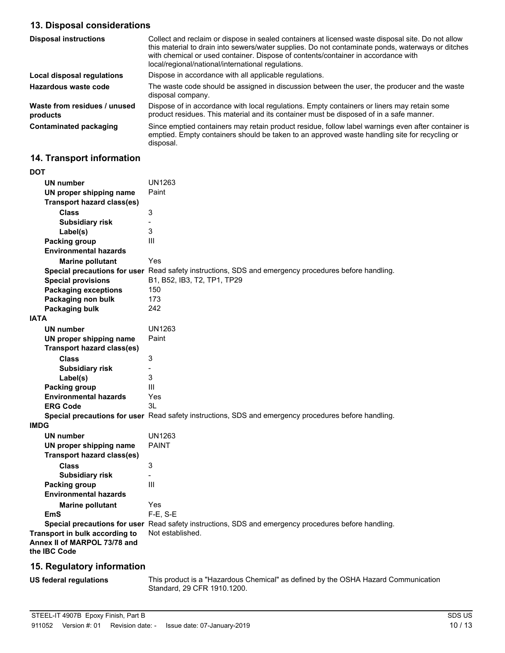## **13. Disposal considerations**

| <b>Disposal instructions</b>             | Collect and reclaim or dispose in sealed containers at licensed waste disposal site. Do not allow<br>this material to drain into sewers/water supplies. Do not contaminate ponds, waterways or ditches<br>with chemical or used container. Dispose of contents/container in accordance with<br>local/regional/national/international regulations. |
|------------------------------------------|---------------------------------------------------------------------------------------------------------------------------------------------------------------------------------------------------------------------------------------------------------------------------------------------------------------------------------------------------|
| Local disposal regulations               | Dispose in accordance with all applicable regulations.                                                                                                                                                                                                                                                                                            |
| Hazardous waste code                     | The waste code should be assigned in discussion between the user, the producer and the waste<br>disposal company.                                                                                                                                                                                                                                 |
| Waste from residues / unused<br>products | Dispose of in accordance with local regulations. Empty containers or liners may retain some<br>product residues. This material and its container must be disposed of in a safe manner.                                                                                                                                                            |
| <b>Contaminated packaging</b>            | Since emptied containers may retain product residue, follow label warnings even after container is<br>emptied. Empty containers should be taken to an approved waste handling site for recycling or<br>disposal.                                                                                                                                  |

## **14. Transport information**

| DOT                                                                            |                                                                                                      |
|--------------------------------------------------------------------------------|------------------------------------------------------------------------------------------------------|
| <b>UN number</b>                                                               | UN1263                                                                                               |
| UN proper shipping name                                                        | Paint                                                                                                |
| <b>Transport hazard class(es)</b>                                              |                                                                                                      |
| <b>Class</b>                                                                   | 3                                                                                                    |
| <b>Subsidiary risk</b>                                                         | $\overline{\phantom{0}}$                                                                             |
| Label(s)                                                                       | 3                                                                                                    |
| <b>Packing group</b>                                                           | Ш                                                                                                    |
| <b>Environmental hazards</b>                                                   |                                                                                                      |
| <b>Marine pollutant</b>                                                        | Yes                                                                                                  |
|                                                                                | Special precautions for user Read safety instructions, SDS and emergency procedures before handling. |
| <b>Special provisions</b>                                                      | B1, B52, IB3, T2, TP1, TP29                                                                          |
| <b>Packaging exceptions</b>                                                    | 150                                                                                                  |
| Packaging non bulk                                                             | 173                                                                                                  |
| Packaging bulk                                                                 | 242                                                                                                  |
| <b>IATA</b>                                                                    |                                                                                                      |
| <b>UN number</b>                                                               | UN1263                                                                                               |
| UN proper shipping name                                                        | Paint                                                                                                |
| <b>Transport hazard class(es)</b>                                              |                                                                                                      |
| <b>Class</b>                                                                   | 3                                                                                                    |
| <b>Subsidiary risk</b>                                                         | $\overline{\phantom{0}}$                                                                             |
| Label(s)                                                                       | 3                                                                                                    |
| Packing group                                                                  | Ш                                                                                                    |
| <b>Environmental hazards</b>                                                   | Yes                                                                                                  |
| <b>ERG Code</b>                                                                | 3L                                                                                                   |
|                                                                                | Special precautions for user Read safety instructions, SDS and emergency procedures before handling. |
| <b>IMDG</b>                                                                    |                                                                                                      |
| <b>UN number</b>                                                               | <b>UN1263</b>                                                                                        |
| UN proper shipping name                                                        | <b>PAINT</b>                                                                                         |
| <b>Transport hazard class(es)</b>                                              |                                                                                                      |
| <b>Class</b>                                                                   | 3                                                                                                    |
| <b>Subsidiary risk</b>                                                         | Ξ.                                                                                                   |
| <b>Packing group</b>                                                           | III                                                                                                  |
| <b>Environmental hazards</b>                                                   |                                                                                                      |
| <b>Marine pollutant</b>                                                        | Yes                                                                                                  |
| <b>EmS</b>                                                                     | $F-E$ , S-E                                                                                          |
|                                                                                | Special precautions for user Read safety instructions, SDS and emergency procedures before handling. |
| Transport in bulk according to<br>Annex II of MARPOL 73/78 and<br>the IBC Code | Not established.                                                                                     |
|                                                                                |                                                                                                      |

## **15. Regulatory information**

**US federal regulations**

This product is a "Hazardous Chemical" as defined by the OSHA Hazard Communication Standard, 29 CFR 1910.1200.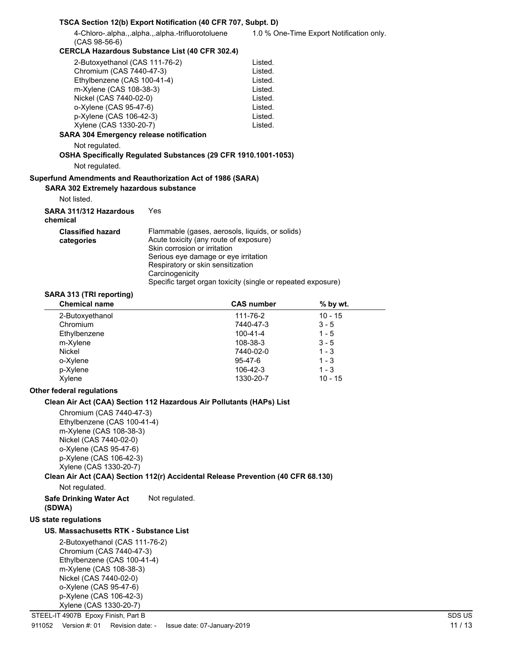|                                                             | TSCA Section 12(b) Export Notification (40 CFR 707, Subpt. D)                                                                                                                                                                                                                             |                   |                                          |
|-------------------------------------------------------------|-------------------------------------------------------------------------------------------------------------------------------------------------------------------------------------------------------------------------------------------------------------------------------------------|-------------------|------------------------------------------|
| $(CAS 98-56-6)$                                             | 4-Chloro-.alpha.,.alpha.,.alpha.-trifluorotoluene                                                                                                                                                                                                                                         |                   | 1.0 % One-Time Export Notification only. |
|                                                             | <b>CERCLA Hazardous Substance List (40 CFR 302.4)</b>                                                                                                                                                                                                                                     |                   |                                          |
| 2-Butoxyethanol (CAS 111-76-2)                              |                                                                                                                                                                                                                                                                                           | Listed.           |                                          |
| Chromium (CAS 7440-47-3)                                    |                                                                                                                                                                                                                                                                                           | Listed.           |                                          |
| Ethylbenzene (CAS 100-41-4)                                 |                                                                                                                                                                                                                                                                                           | Listed.           |                                          |
| m-Xylene (CAS 108-38-3)                                     |                                                                                                                                                                                                                                                                                           | Listed.           |                                          |
| Nickel (CAS 7440-02-0)                                      |                                                                                                                                                                                                                                                                                           | Listed.           |                                          |
| o-Xylene (CAS 95-47-6)                                      |                                                                                                                                                                                                                                                                                           | Listed.           |                                          |
| p-Xylene (CAS 106-42-3)                                     |                                                                                                                                                                                                                                                                                           | Listed.           |                                          |
| Xylene (CAS 1330-20-7)                                      |                                                                                                                                                                                                                                                                                           | Listed.           |                                          |
| <b>SARA 304 Emergency release notification</b>              |                                                                                                                                                                                                                                                                                           |                   |                                          |
| Not regulated.                                              |                                                                                                                                                                                                                                                                                           |                   |                                          |
|                                                             | OSHA Specifically Regulated Substances (29 CFR 1910.1001-1053)                                                                                                                                                                                                                            |                   |                                          |
| Not regulated.                                              |                                                                                                                                                                                                                                                                                           |                   |                                          |
| Superfund Amendments and Reauthorization Act of 1986 (SARA) |                                                                                                                                                                                                                                                                                           |                   |                                          |
| <b>SARA 302 Extremely hazardous substance</b>               |                                                                                                                                                                                                                                                                                           |                   |                                          |
| Not listed.                                                 |                                                                                                                                                                                                                                                                                           |                   |                                          |
| SARA 311/312 Hazardous<br>chemical                          | Yes                                                                                                                                                                                                                                                                                       |                   |                                          |
| <b>Classified hazard</b><br>categories                      | Flammable (gases, aerosols, liquids, or solids)<br>Acute toxicity (any route of exposure)<br>Skin corrosion or irritation<br>Serious eye damage or eye irritation<br>Respiratory or skin sensitization<br>Carcinogenicity<br>Specific target organ toxicity (single or repeated exposure) |                   |                                          |
| SARA 313 (TRI reporting)                                    |                                                                                                                                                                                                                                                                                           |                   |                                          |
| <b>Chemical name</b>                                        |                                                                                                                                                                                                                                                                                           | <b>CAS number</b> | % by wt.                                 |
| 2-Butoxyethanol                                             |                                                                                                                                                                                                                                                                                           | 111-76-2          | $10 - 15$                                |
| Chromium                                                    |                                                                                                                                                                                                                                                                                           | 7440-47-3         | $3 - 5$                                  |

| 2-Butoxyethanol | 111-76-2       | 10 - 15   |  |
|-----------------|----------------|-----------|--|
| Chromium        | 7440-47-3      | $3 - 5$   |  |
| Ethylbenzene    | $100 - 41 - 4$ | $1 - 5$   |  |
| m-Xylene        | 108-38-3       | $3 - 5$   |  |
| Nickel          | 7440-02-0      | $1 - 3$   |  |
| o-Xylene        | $95 - 47 - 6$  | $1 - 3$   |  |
| p-Xylene        | 106-42-3       | $1 - 3$   |  |
| Xylene          | 1330-20-7      | $10 - 15$ |  |
|                 |                |           |  |

### **Other federal regulations**

#### **Clean Air Act (CAA) Section 112 Hazardous Air Pollutants (HAPs) List**

Chromium (CAS 7440-47-3) Ethylbenzene (CAS 100-41-4) m-Xylene (CAS 108-38-3) Nickel (CAS 7440-02-0) o-Xylene (CAS 95-47-6) p-Xylene (CAS 106-42-3) Xylene (CAS 1330-20-7)

## **Clean Air Act (CAA) Section 112(r) Accidental Release Prevention (40 CFR 68.130)**

Not regulated.

#### **Safe Drinking Water Act** Not regulated. **(SDWA)**

#### **US state regulations**

### **US. Massachusetts RTK - Substance List**

2-Butoxyethanol (CAS 111-76-2) Chromium (CAS 7440-47-3) Ethylbenzene (CAS 100-41-4) m-Xylene (CAS 108-38-3) Nickel (CAS 7440-02-0) o-Xylene (CAS 95-47-6) p-Xylene (CAS 106-42-3) Xylene (CAS 1330-20-7)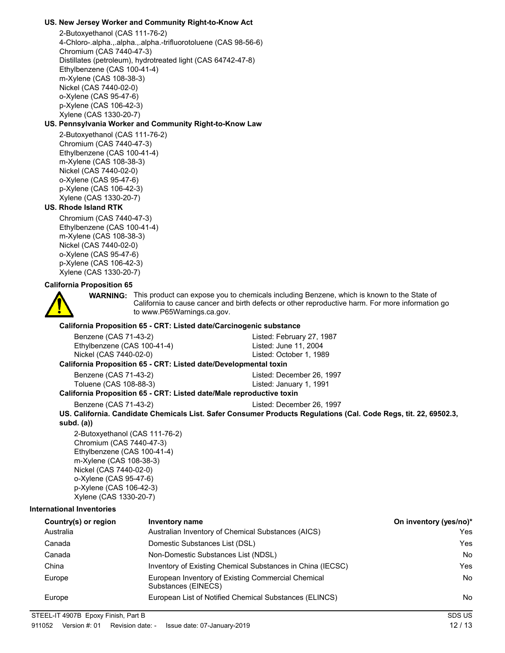### **US. New Jersey Worker and Community Right-to-Know Act**

2-Butoxyethanol (CAS 111-76-2) 4-Chloro-.alpha.,.alpha.,.alpha.-trifluorotoluene (CAS 98-56-6) Chromium (CAS 7440-47-3) Distillates (petroleum), hydrotreated light (CAS 64742-47-8) Ethylbenzene (CAS 100-41-4) m-Xylene (CAS 108-38-3) Nickel (CAS 7440-02-0) o-Xylene (CAS 95-47-6) p-Xylene (CAS 106-42-3) Xylene (CAS 1330-20-7)

### **US. Pennsylvania Worker and Community Right-to-Know Law**

2-Butoxyethanol (CAS 111-76-2) Chromium (CAS 7440-47-3) Ethylbenzene (CAS 100-41-4) m-Xylene (CAS 108-38-3) Nickel (CAS 7440-02-0) o-Xylene (CAS 95-47-6) p-Xylene (CAS 106-42-3) Xylene (CAS 1330-20-7)

### **US. Rhode Island RTK**

Chromium (CAS 7440-47-3) Ethylbenzene (CAS 100-41-4) m-Xylene (CAS 108-38-3) Nickel (CAS 7440-02-0) o-Xylene (CAS 95-47-6) p-Xylene (CAS 106-42-3) Xylene (CAS 1330-20-7)

#### **California Proposition 65**



**WARNING:** This product can expose you to chemicals including Benzene, which is known to the State of California to cause cancer and birth defects or other reproductive harm. For more information go to www.P65Warnings.ca.gov.

### **California Proposition 65 - CRT: Listed date/Carcinogenic substance**

| Benzene (CAS 71-43-2)       | Listed: February 27, 1987 |
|-----------------------------|---------------------------|
| Ethylbenzene (CAS 100-41-4) | Listed: June 11, 2004     |
| Nickel (CAS 7440-02-0)      | Listed: October 1, 1989   |

#### **California Proposition 65 - CRT: Listed date/Developmental toxin**

Benzene (CAS 71-43-2) Listed: December 26, 1997

#### Toluene (CAS 108-88-3) Listed: January 1, 1991 **California Proposition 65 - CRT: Listed date/Male reproductive toxin**

Benzene (CAS 71-43-2) Listed: December 26, 1997

**US. California. Candidate Chemicals List. Safer Consumer Products Regulations (Cal. Code Regs, tit. 22, 69502.3, subd. (a))**

2-Butoxyethanol (CAS 111-76-2) Chromium (CAS 7440-47-3) Ethylbenzene (CAS 100-41-4) m-Xylene (CAS 108-38-3) Nickel (CAS 7440-02-0) o-Xylene (CAS 95-47-6) p-Xylene (CAS 106-42-3) Xylene (CAS 1330-20-7)

#### **International Inventories**

| Country(s) or region | Inventory name                                                            | On inventory (yes/no)* |
|----------------------|---------------------------------------------------------------------------|------------------------|
| Australia            | Australian Inventory of Chemical Substances (AICS)                        | Yes                    |
| Canada               | Domestic Substances List (DSL)                                            | Yes                    |
| Canada               | Non-Domestic Substances List (NDSL)                                       | No                     |
| China                | Inventory of Existing Chemical Substances in China (IECSC)                | Yes                    |
| Europe               | European Inventory of Existing Commercial Chemical<br>Substances (EINECS) | <b>No</b>              |
| Europe               | European List of Notified Chemical Substances (ELINCS)                    | No                     |